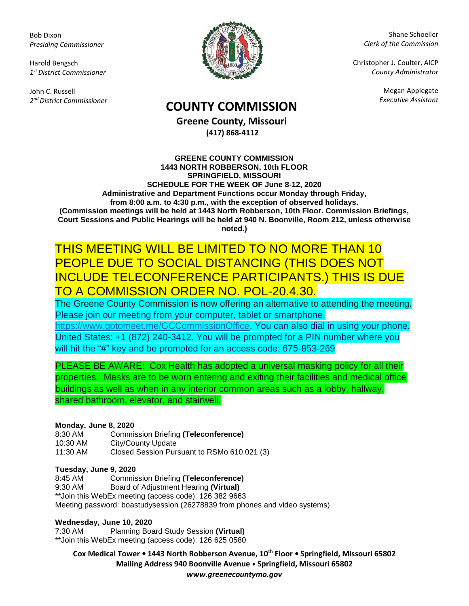Bob Dixon *Presiding Commissioner*

Harold Bengsch *1 st District Commissioner*

John C. Russell *2 nd District Commissioner*



Shane Schoeller *Clerk of the Commission*

Christopher J. Coulter, AICP *County Administrator*

Megan Applegate

# *Executive Assistant* **COUNTY COMMISSION**

**Greene County, Missouri (417) 868-4112**

#### **GREENE COUNTY COMMISSION 1443 NORTH ROBBERSON, 10th FLOOR SPRINGFIELD, MISSOURI SCHEDULE FOR THE WEEK OF June 8-12, 2020 Administrative and Department Functions occur Monday through Friday, from 8:00 a.m. to 4:30 p.m., with the exception of observed holidays. (Commission meetings will be held at 1443 North Robberson, 10th Floor. Commission Briefings, Court Sessions and Public Hearings will be held at 940 N. Boonville, Room 212, unless otherwise noted.)**

# THIS MEETING WILL BE LIMITED TO NO MORE THAN 10 PEOPLE DUE TO SOCIAL DISTANCING (THIS DOES NOT INCLUDE TELECONFERENCE PARTICIPANTS.) THIS IS DUE TO A COMMISSION ORDER NO. POL-20.4.30.

The Greene County Commission is now offering an alternative to attending the meeting. Please join our meeting from your computer, tablet or smartphone. [https://www.gotomeet.me/GCCommissionOffice.](https://www.gotomeet.me/GCCommissionOffice) You can also dial in using your phone. United States: +1 (872) 240-3412. You will be prompted for a PIN number where you will hit the "#" key and be prompted for an access code: 675-853-269

PLEASE BE AWARE: Cox Health has adopted a universal masking policy for all their properties. Masks are to be worn entering and exiting their facilities and medical office buildings as well as when in any interior common areas such as a lobby, hallway, shared bathroom, elevator, and stairwell.

# **Monday, June 8, 2020**

8:30 AM Commission Briefing **(Teleconference)** 10:30 AM City/County Update 11:30 AM Closed Session Pursuant to RSMo 610.021 (3)

# **Tuesday, June 9, 2020**

8:45 AM Commission Briefing **(Teleconference)** 9:30 AM Board of Adjustment Hearing **(Virtual)**

\*\*Join this WebEx meeting (access code): 126 382 9663

Meeting password: boastudysession (26278839 from phones and video systems)

# **Wednesday, June 10, 2020**

7:30 AM Planning Board Study Session **(Virtual)** \*\*Join this WebEx meeting (access code): 126 625 0580

**Cox Medical Tower • 1443 North Robberson Avenue, 10th Floor • Springfield, Missouri 65802 Mailing Address 940 Boonville Avenue • Springfield, Missouri 65802** *www.greenecountymo.gov*